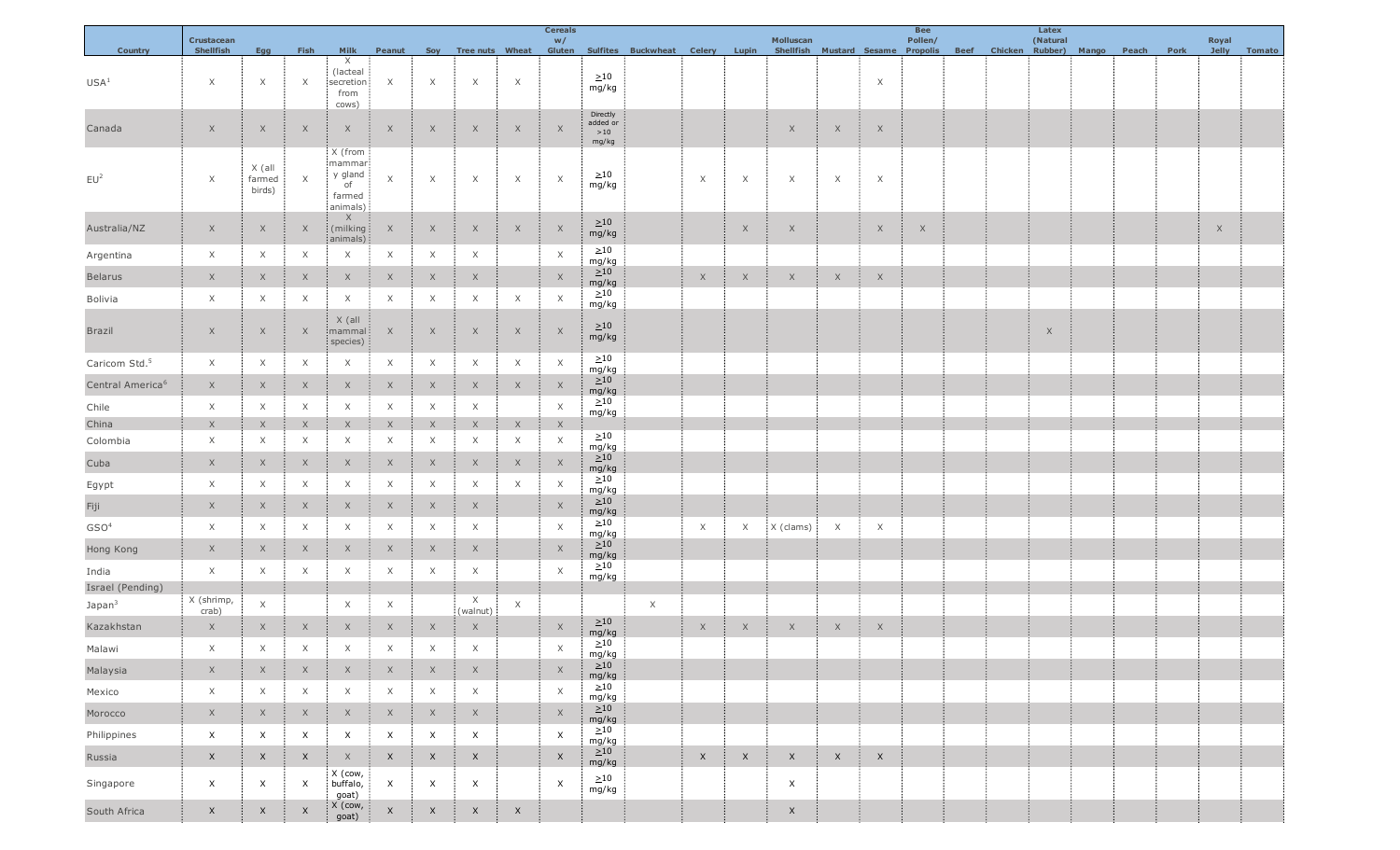|                              | Crustacean       |                            |                   |                                                          |                                |                           |                           |                    | <b>Cereals</b>            |                                      |                                                            |             |                   | Molluscan                                                          |              |                           | <b>Bee</b><br>Pollen/ |  |  |          |  |      |                       |        |
|------------------------------|------------------|----------------------------|-------------------|----------------------------------------------------------|--------------------------------|---------------------------|---------------------------|--------------------|---------------------------|--------------------------------------|------------------------------------------------------------|-------------|-------------------|--------------------------------------------------------------------|--------------|---------------------------|-----------------------|--|--|----------|--|------|-----------------------|--------|
| <b>Country</b>               | <b>Shellfish</b> | <b>Egg</b>                 | Fish              | Milk                                                     | Peanut                         |                           |                           |                    | W/                        |                                      | Soy Tree nuts Wheat Gluten Sulfites Buckwheat Celery Lupin |             |                   | Shellfish Mustard Sesame Propolis Beef Chicken Rubber) Mango Peach |              |                           |                       |  |  | (Natural |  | Pork | Royal<br><b>Jelly</b> | Tomato |
| USA <sup>1</sup>             | $\times$         | $\mathsf X$                | ÷<br>$\times$     | $\times$<br>(lacteal<br>secretion<br>from<br>cows)       | $\times$                       | $\times$                  | X                         | Ф.<br>$\times$     |                           | >10<br>mg/kg                         |                                                            |             |                   |                                                                    |              | $\mathsf X$               |                       |  |  |          |  |      |                       |        |
| Canada                       | $\mathsf X$      | X                          | ÷<br>$\times$     | $\mathsf X$                                              | $\boldsymbol{\mathsf{X}}$<br>÷ | $\times$                  | X<br>÷                    | $\mathsf X$<br>-11 | $\times$                  | Directly<br>added or<br>>10<br>mg/kg |                                                            |             |                   | $\mathsf X$                                                        | X<br>A       | $\times$                  |                       |  |  |          |  |      |                       |        |
| EU <sup>2</sup>              | $\times$         | X (all<br>farmed<br>birds) | $\times$          | X (from<br>mammar<br>y gland<br>of<br>farmed<br>animals) | $\times$                       | $\times$                  | X                         | ÷.<br>$\mathsf X$  | $\mathsf{X}$              | $>10$<br>mg/kg                       |                                                            | X           | X                 | $\times$                                                           | X<br>÷,      | -1<br>X                   |                       |  |  |          |  |      |                       |        |
| Australia/NZ                 | $\times$         | $\times$                   | л.<br>$\times$    | X<br>(milking<br>animals)                                | $\mathsf{X}$                   | $\times$                  | X                         | $\times$<br>- 81   | $\times$                  | >10<br>mg/kg                         |                                                            |             | $\times$          | $\mathsf X$                                                        |              | $\times$                  | $\mathsf X$<br>÷      |  |  |          |  |      | $\times$<br>÷.        |        |
| Argentina                    | $\times$         | X                          | $\times$          | $\times$                                                 | $\times$                       | $\times$                  | X                         |                    | $\times$                  | >10<br>mg/kg                         |                                                            |             |                   |                                                                    |              |                           |                       |  |  |          |  |      |                       |        |
| <b>Belarus</b>               | X                | $\times$                   | Ť<br>$\times$     | $\times$                                                 | ÷<br>$\mathsf{X}$              | $\mathsf{X}$              | X                         |                    | X                         | $\geq 10$<br>mg/kg                   |                                                            | X           | ÷,<br>X           | $\times$                                                           | X<br>÷       | $\times$                  |                       |  |  |          |  |      |                       |        |
| Bolivia                      | $\times$         | X                          | X                 | X                                                        | $\times$                       | $\times$                  | X                         | $\times$           | $\times$                  | >10<br>mg/kg                         |                                                            |             |                   |                                                                    |              |                           |                       |  |  |          |  |      |                       |        |
| Brazil                       | $\mathsf X$      | $\times$                   | ÷<br>$\times$     | X (all<br>mammal<br>species)                             | $\times$                       | X                         | X                         | $\times$           | $\times$                  | >10<br>mg/kg                         |                                                            |             |                   |                                                                    |              |                           |                       |  |  | X        |  |      |                       |        |
| Caricom Std. <sup>5</sup>    | $\times$         | X                          | $\times$          | X                                                        | $\times$                       | $\times$                  | X                         | $\mathsf X$        | $\times$                  | >10<br>mg/kg                         |                                                            |             |                   |                                                                    |              |                           |                       |  |  |          |  |      |                       |        |
| Central America <sup>6</sup> | $\mathsf{X}$     | $\times$                   | ÷<br>$\times$     | $\times$                                                 | $\times$<br>÷                  | $\times$                  | X                         | $\times$           | $\times$                  | $\geq 10$<br>mg/kg                   |                                                            |             |                   |                                                                    |              |                           |                       |  |  |          |  |      |                       |        |
| Chile                        | $\times$         | X                          | X                 | $\times$                                                 | $\times$                       | X                         | $\times$                  |                    | $\mathsf{X}$              | >10<br>mg/kg                         |                                                            |             |                   |                                                                    |              |                           |                       |  |  |          |  |      |                       |        |
| China                        | $\times$         | $\times$                   |                   | $\times$                                                 | $\times$                       |                           | X                         | $\mathsf X$        | $\times$                  |                                      |                                                            |             |                   |                                                                    |              |                           |                       |  |  |          |  |      |                       |        |
| Colombia                     | $\times$         | X                          | X                 | X                                                        | X                              | $\times$                  | X                         | $\times$           | $\times$                  | >10<br>mg/kg                         |                                                            |             |                   |                                                                    |              |                           |                       |  |  |          |  |      |                       |        |
| Cuba                         | $\mathsf X$      | $\times$                   | ÷<br>$\times$     | $\times$                                                 | $\times$<br>÷                  | $\times$                  | X                         | $\mathsf X$        | $\times$                  | $\geq 10$<br>mg/kg                   |                                                            |             |                   |                                                                    |              |                           |                       |  |  |          |  |      |                       |        |
| Egypt                        | $\times$         | $\times$                   | X                 | X                                                        | $\times$                       | $\times$                  | $\times$                  | $\times$           | $\times$                  | >10<br>mg/kg                         |                                                            |             |                   |                                                                    |              |                           |                       |  |  |          |  |      |                       |        |
| Fiji                         | $\mathsf{X}$     | X                          | $\times$<br>÷     | $\times$                                                 | ÷<br>$\mathsf X$               | $\times$                  | X                         |                    | X                         | $\geq 10$<br>mg/kg                   |                                                            |             |                   |                                                                    |              |                           |                       |  |  |          |  |      |                       |        |
| GSO <sup>4</sup>             | $\times$         | $\times$                   | $\times$          | $\times$                                                 | $\times$                       | $\times$                  | X                         |                    | $\times$                  | >10<br>mg/kg                         |                                                            | $\times$    | $\times$          | X (clams)                                                          | $\times$     | $\times$                  |                       |  |  |          |  |      |                       |        |
| Hong Kong                    | X                | $\mathsf X$                | Ť<br>$\times$     | $\times$                                                 | $\times$<br>÷                  | $\times$                  | $\mathsf X$               |                    | $\times$                  | $\geq 10$<br>mg/kg                   |                                                            |             |                   |                                                                    |              |                           |                       |  |  |          |  |      |                       |        |
| India                        | $\times$         | $\times$                   | $\times$          | Χ                                                        | $\times$                       | X                         | X                         |                    | $\times$                  | >10<br>mg/kg                         |                                                            |             |                   |                                                                    |              |                           |                       |  |  |          |  |      |                       |        |
| Israel (Pending)             | X (shrimp,       |                            |                   |                                                          |                                |                           | $\times$                  |                    |                           |                                      |                                                            |             |                   |                                                                    |              |                           |                       |  |  |          |  |      |                       |        |
| Japan <sup>3</sup>           | crab)            | $\mathsf X$                |                   | X                                                        | $\times$                       |                           | (walnut)                  | X                  |                           |                                      | $\times$                                                   |             |                   |                                                                    |              |                           |                       |  |  |          |  |      |                       |        |
| Kazakhstan                   | X                | $\mathsf{X}$               | ÷.<br>X           | 41<br>$\times$                                           | -91<br>$\times$                | X                         | $\mathsf{X}$<br>÷         |                    | $\times$                  | >10<br>mg/kg                         |                                                            | $\mathsf X$ | ÷<br>$\mathsf{X}$ | $\times$                                                           | X            | $\times$                  |                       |  |  |          |  |      |                       |        |
| Malawi                       |                  |                            |                   |                                                          | $\times$                       | $\times$                  | $\times$                  |                    | $\times$                  | т.<br>>10<br>mg/kg                   |                                                            |             |                   |                                                                    |              |                           |                       |  |  |          |  |      |                       |        |
| Malaysia                     | $\mathsf X$      | $\mathsf X$                | 4<br>$\mathsf{X}$ | $\mathsf X$<br>-1                                        | Ť<br>$\mathsf X$               | $\mathsf{X}$              | $\mathsf X$<br>J.         |                    | $\times$                  | ${>}10$<br>mg/kg                     |                                                            |             |                   |                                                                    |              |                           |                       |  |  |          |  |      |                       |        |
| Mexico                       | $\times$         | X                          | X                 | $\times$                                                 | $\times$                       | $\times$                  | X                         |                    | $\times$                  | >10<br>mg/kg                         |                                                            |             |                   |                                                                    |              |                           |                       |  |  |          |  |      |                       |        |
| Morocco                      | $\mathsf X$      | $\mathsf X$                | ÷.<br>$\times$    | $\mathsf X$                                              | $\mathsf{X}$<br>÷              | $\mathsf{X}$              | $\mathsf X$               |                    | $\times$                  | $\geq 10$<br>mg/kg                   |                                                            |             |                   |                                                                    |              |                           |                       |  |  |          |  |      |                       |        |
| Philippines                  | $\mathsf X$      | X                          | X                 | X                                                        | $\times$                       | $\boldsymbol{\mathsf{X}}$ | X                         |                    | $\times$                  | >10<br>mg/kg                         |                                                            |             |                   |                                                                    |              |                           |                       |  |  |          |  |      |                       |        |
| Russia                       | $\mathsf{X}$     | X                          | ÷<br>$\mathsf{X}$ | $\mathsf{X}$                                             | $\mathsf{X}$                   | $\mathsf{X}$              | $\mathsf{X}$              |                    | $\boldsymbol{X}$          | >10<br>mg/kg                         |                                                            | $\mathsf X$ | $\mathsf{X}$      | $\mathsf{X}$                                                       | $\mathsf{X}$ | $\boldsymbol{\mathsf{X}}$ |                       |  |  |          |  |      |                       |        |
| Singapore                    | X                | X                          | X                 | X (cow,<br>buffalo,<br>goat)                             | $\mathsf{X}$                   | $\times$                  | $\boldsymbol{\mathsf{X}}$ |                    | $\boldsymbol{\mathsf{X}}$ | >10<br>mg/kg                         |                                                            |             |                   | X                                                                  |              |                           |                       |  |  |          |  |      |                       |        |
| South Africa                 | $\mathsf X$      | X                          | X                 | $X$ (cow,<br>goat)                                       | $\mathsf X$                    | $\mathsf{X}$              | X                         | $\boldsymbol{X}$   |                           |                                      |                                                            |             |                   | $\mathsf X$                                                        |              |                           |                       |  |  |          |  |      |                       |        |